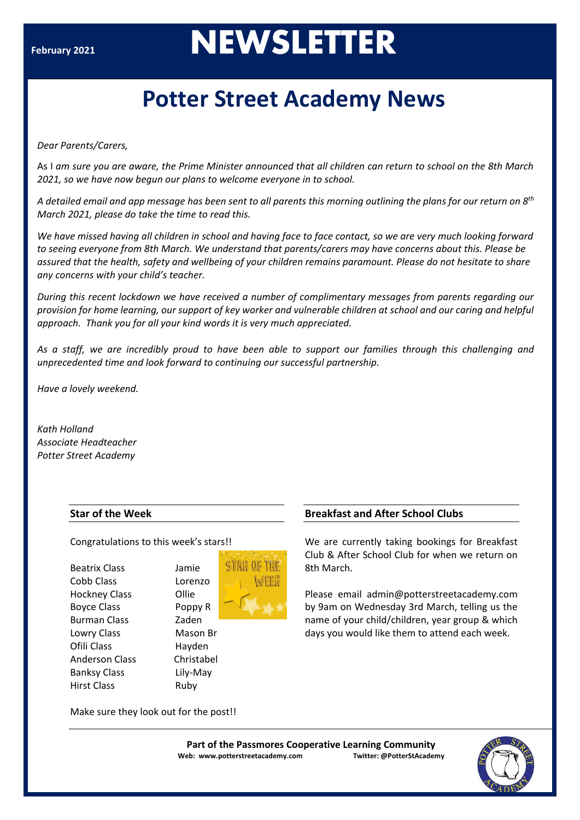# **February <sup>2021</sup>NEWSLETTER**

## **Potter Street Academy News**

*Dear Parents/Carers,*

As I *am sure you are aware, the Prime Minister announced that all children can return to school on the 8th March 2021, so we have now begun our plans to welcome everyone in to school.* 

*A detailed email and app message has been sent to all parents this morning outlining the plans for our return on 8th March 2021, please do take the time to read this.*

We have missed having all children in school and having face to face contact, so we are very much looking forward *to seeing everyone from 8th March. We understand that parents/carers may have concerns about this. Please be assured that the health, safety and wellbeing of your children remains paramount. Please do not hesitate to share any concerns with your child's teacher.*

*During this recent lockdown we have received a number of complimentary messages from parents regarding our provision for home learning, our support of key worker and vulnerable children at school and our caring and helpful approach. Thank you for all your kind words it is very much appreciated.*

*As a staff, we are incredibly proud to have been able to support our families through this challenging and unprecedented time and look forward to continuing our successful partnership.*

*Have a lovely weekend.*

*Kath Holland Associate Headteacher Potter Street Academy*

#### **Star of the Week**

#### Congratulations to this week's stars!!

**Ollie** 

Hayden Christabel Lily-May Ruby

| Beatrix Class        |
|----------------------|
| Cobb Class           |
| <b>Hockney Class</b> |
| <b>Boyce Class</b>   |
| Burman Class         |
| Lowry Class          |
| Ofili Class          |
| Anderson Class       |
| Banksy Class         |
| Hirst Class          |



#### **Breakfast and After School Clubs**

We are currently taking bookings for Breakfast Club & After School Club for when we return on 8th March.

Please email admin@potterstreetacademy.com by 9am on Wednesday 3rd March, telling us the name of your child/children, year group & which days you would like them to attend each week.

Make sure they look out for the post!!

**Part of the Passmores Cooperative Learning Community Web: www.potterstreetacademy.com Twitter: @PotterStAcademy**